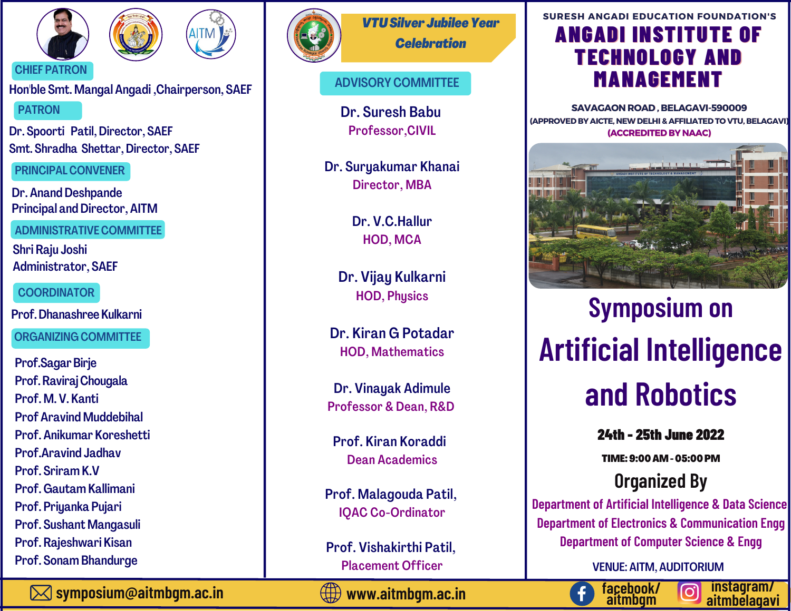





CHIEF PATRON

Hon'ble Smt. Mangal Angadi ,Chairperson, SAEF PATRON

Dr. Spoorti Patil, Director, SAEF Smt. Shradha Shettar, Director, SAEF

PRINCIPAL CONVENER

Dr. Anand Deshpande Principal and Director, AITM

ADMINISTRATIVE COMMITTEE

Shri Raju Joshi Administrator, SAEF

**COORDINATOR** 

Prof.DhanashreeKulkarni

ORGANIZING COMMITTEE

Prof.Sagar Birje Prof. Raviraj Chougala Prof. M. V. Kanti Prof Aravind Muddebihal Prof. Anikumar Koreshetti Prof.Aravind Jadhav Prof. Sriram K.V Prof.Gautam Kallimani Prof. Priyanka Pujari Prof. Sushant Mangasuli [Prof.](http://aitmbgm.ac.in/wp-content/uploads/2020/11/RHA-faculty-profile.pdf) Rajeshwari Kisan Prof. Sonam Bhandurge



*VTUSilver JubileeYear Celebration*

# ADVISORY COMMITTEE

Dr. Suresh Babu Professor,CIVIL

Dr. Suryakumar Khanai Director, MBA

> Dr. V.C.Hallur HOD, MCA

Dr. Vijay Kulkarni HOD, Physics

Dr. Kiran G Potadar HOD, Mathematics

Dr. Vinayak Adimule Professor & Dean, R&D

Prof. Kiran Koraddi Dean Academics

Prof. Malagouda Patil, IQAC Co-Ordinator

Prof. Vishakirthi Patil, Placement Officer

# ANGADI INSTITUTE OF TECHNOLOGY AND MANAGEMENT **SURESH ANGADI EDUCATION FOUNDATION'S**

*For those of you who are* **SAVAGAON ROAD , BELAGAVI-590009** *confused about finding* **(ACCREDITED BY NAAC) (APPROVED BY AICTE, NEWDELHI& AFFILIATED TO VTU, BELAGAVI)**



# **Symposium on Artificial Intelligence and Robotics**

24th - 25th June 2022

TIME:9:00AM-05:00PM

**Organized By**

**Department of Artificial Intelligence & Data Science Department of Electronics & Communication Engg Department of Computer Science & Engg**

VENUE: AITM, AUDITORIUM

**instagram/**

**facebook/ aitmbgm**

**symposium@aitmbgm.ac.in**



**aitmbelagavi www.aitmbgm.ac.in**